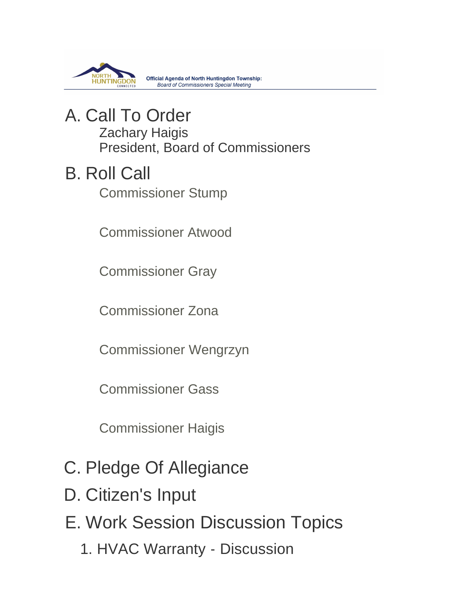

**Official Agenda of North Huntingdon Township: Board of Commissioners Special Meeting** 

### A. Call To Order Zachary Haigis President, Board of Commissioners

## **B. Roll Call**

Commissioner Stump

Commissioner Atwood

Commissioner Gray

Commissioner Zona

Commissioner Wengrzyn

Commissioner Gass

Commissioner Haigis

- C. Pledge Of Allegiance
- D. Citizen's Input
- E. Work Session Discussion Topics
	- 1. HVAC Warranty Discussion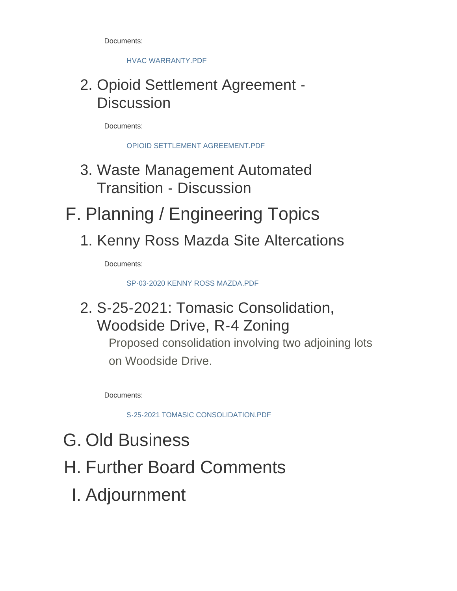Documents:

HVAC WARRANTY.PDF

## 2. Opioid Settlement Agreement -**Discussion**

Documents:

OPIOID SETTLEMENT AGREEMENT.PDF

- 3. Waste Management Automated Transition - Discussion
- F. Planning / Engineering Topics
	- 1. Kenny Ross Mazda Site Altercations

Documents:

SP-03-2020 KENNY ROSS MAZDA.PDF

## 2. S-25-2021: Tomasic Consolidation, Woodside Drive, R-4 Zoning

Proposed consolidation involving two adjoining lots on Woodside Drive.

Documents:

S-25-2021 TOMASIC CONSOLIDATION.PDF

- G. Old Business
- H. Further Board Comments
	- Adjournment I.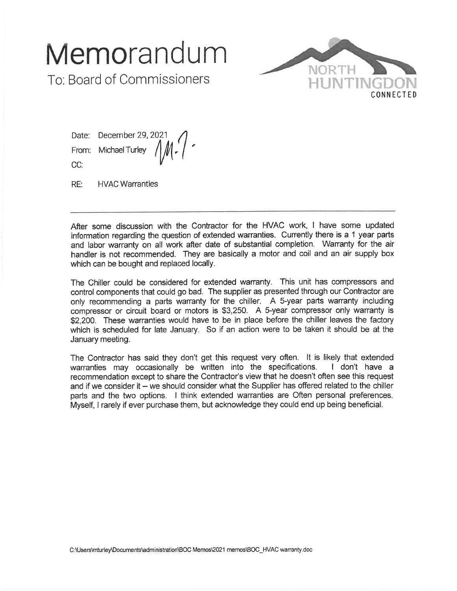# Memorandum

To: Board of Commissioners



December 29, 2021 Date: **Michael Turley** From: CC:

RE: **HVAC Warranties** 

After some discussion with the Contractor for the HVAC work, I have some updated information regarding the question of extended warranties. Currently there is a 1 year parts and labor warranty on all work after date of substantial completion. Warranty for the air handler is not recommended. They are basically a motor and coil and an air supply box which can be bought and replaced locally.

The Chiller could be considered for extended warranty. This unit has compressors and control components that could go bad. The supplier as presented through our Contractor are only recommending a parts warranty for the chiller. A 5-year parts warranty including compressor or circuit board or motors is \$3,250. A 5-year compressor only warranty is \$2,200. These warranties would have to be in place before the chiller leaves the factory which is scheduled for late January. So if an action were to be taken it should be at the January meeting.

The Contractor has said they don't get this request very often. It is likely that extended warranties may occasionally be written into the specifications. I don't have a recommendation except to share the Contractor's view that he doesn't often see this request and if we consider it - we should consider what the Supplier has offered related to the chiller parts and the two options. I think extended warranties are Often personal preferences. Myself, I rarely if ever purchase them, but acknowledge they could end up being beneficial.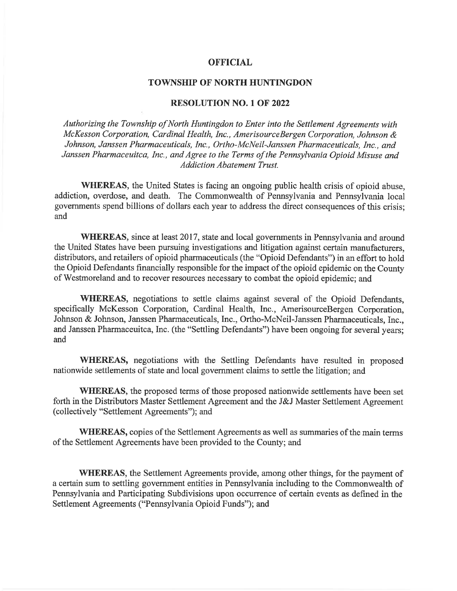### **OFFICIAL**

### **TOWNSHIP OF NORTH HUNTINGDON**

#### **RESOLUTION NO. 1 OF 2022**

Authorizing the Township of North Huntingdon to Enter into the Settlement Agreements with McKesson Corporation, Cardinal Health, Inc., AmerisourceBergen Corporation, Johnson & Johnson, Janssen Pharmaceuticals, Inc., Ortho-McNeil-Janssen Pharmaceuticals, Inc., and Janssen Pharmaceuitca, Inc., and Agree to the Terms of the Pennsylvania Opioid Misuse and **Addiction Abatement Trust.** 

WHEREAS, the United States is facing an ongoing public health crisis of opioid abuse, addiction, overdose, and death. The Commonwealth of Pennsylvania and Pennsylvania local governments spend billions of dollars each year to address the direct consequences of this crisis: and

**WHEREAS**, since at least 2017, state and local governments in Pennsylvania and around the United States have been pursuing investigations and litigation against certain manufacturers. distributors, and retailers of opioid pharmaceuticals (the "Opioid Defendants") in an effort to hold the Opioid Defendants financially responsible for the impact of the opioid epidemic on the County of Westmoreland and to recover resources necessary to combat the opioid epidemic; and

WHEREAS, negotiations to settle claims against several of the Opioid Defendants, specifically McKesson Corporation, Cardinal Health, Inc., AmerisourceBergen Corporation, Johnson & Johnson, Janssen Pharmaceuticals, Inc., Ortho-McNeil-Janssen Pharmaceuticals, Inc., and Janssen Pharmaceuitca, Inc. (the "Settling Defendants") have been ongoing for several years; and

WHEREAS, negotiations with the Settling Defendants have resulted in proposed nationwide settlements of state and local government claims to settle the litigation; and

**WHEREAS**, the proposed terms of those proposed nationwide settlements have been set forth in the Distributors Master Settlement Agreement and the J&J Master Settlement Agreement (collectively "Settlement Agreements"); and

**WHEREAS**, copies of the Settlement Agreements as well as summaries of the main terms of the Settlement Agreements have been provided to the County; and

**WHEREAS**, the Settlement Agreements provide, among other things, for the payment of a certain sum to settling government entities in Pennsylvania including to the Commonwealth of Pennsylvania and Participating Subdivisions upon occurrence of certain events as defined in the Settlement Agreements ("Pennsylvania Opioid Funds"); and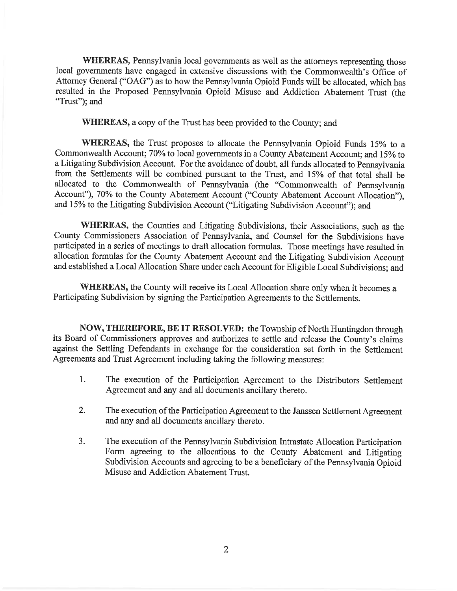WHEREAS, Pennsylvania local governments as well as the attorneys representing those local governments have engaged in extensive discussions with the Commonwealth's Office of Attorney General ("OAG") as to how the Pennsylvania Opioid Funds will be allocated, which has resulted in the Proposed Pennsylvania Opioid Misuse and Addiction Abatement Trust (the "Trust"); and

**WHEREAS, a copy of the Trust has been provided to the County; and** 

**WHEREAS**, the Trust proposes to allocate the Pennsylvania Opioid Funds 15% to a Commonwealth Account; 70% to local governments in a County Abatement Account; and 15% to a Litigating Subdivision Account. For the avoidance of doubt, all funds allocated to Pennsylvania from the Settlements will be combined pursuant to the Trust, and 15% of that total shall be allocated to the Commonwealth of Pennsylvania (the "Commonwealth of Pennsylvania Account"), 70% to the County Abatement Account ("County Abatement Account Allocation"). and 15% to the Litigating Subdivision Account ("Litigating Subdivision Account"); and

**WHEREAS**, the Counties and Litigating Subdivisions, their Associations, such as the County Commissioners Association of Pennsylvania, and Counsel for the Subdivisions have participated in a series of meetings to draft allocation formulas. Those meetings have resulted in allocation formulas for the County Abatement Account and the Litigating Subdivision Account and established a Local Allocation Share under each Account for Eligible Local Subdivisions; and

**WHEREAS**, the County will receive its Local Allocation share only when it becomes a Participating Subdivision by signing the Participation Agreements to the Settlements.

NOW, THEREFORE, BE IT RESOLVED: the Township of North Huntingdon through its Board of Commissioners approves and authorizes to settle and release the County's claims against the Settling Defendants in exchange for the consideration set forth in the Settlement Agreements and Trust Agreement including taking the following measures:

- $1.$ The execution of the Participation Agreement to the Distributors Settlement Agreement and any and all documents ancillary thereto.
- $\overline{2}$ . The execution of the Participation Agreement to the Janssen Settlement Agreement and any and all documents ancillary thereto.
- $3<sub>1</sub>$ The execution of the Pennsylvania Subdivision Intrastate Allocation Participation Form agreeing to the allocations to the County Abatement and Litigating Subdivision Accounts and agreeing to be a beneficiary of the Pennsylvania Opioid Misuse and Addiction Abatement Trust.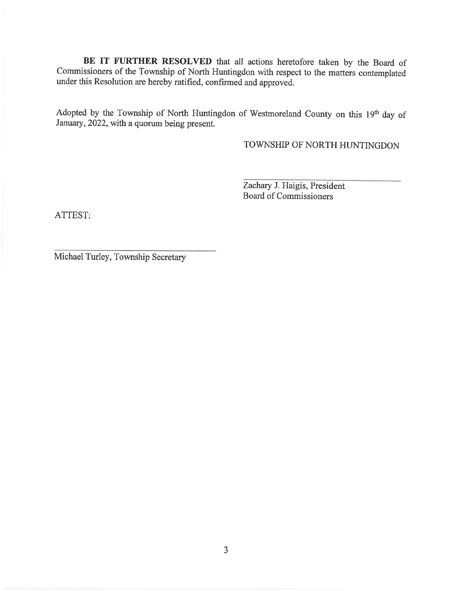BE IT FURTHER RESOLVED that all actions heretofore taken by the Board of Commissioners of the Township of North Huntingdon with respect to the matters contemplated under this Resolution are hereby ratified, confirmed and approved.

Adopted by the Township of North Huntingdon of Westmoreland County on this 19th day of January, 2022, with a quorum being present.

TOWNSHIP OF NORTH HUNTINGDON

Zachary J. Haigis, President Board of Commissioners

ATTEST:

Michael Turley, Township Secretary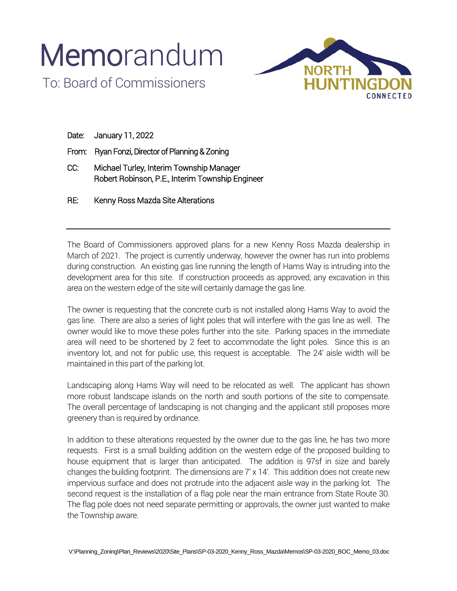## **Memorandum** To: Board of Commissioners



|       | Date: January 11, 2022                                                                       |
|-------|----------------------------------------------------------------------------------------------|
| From: | Ryan Fonzi, Director of Planning & Zoning                                                    |
| CC:   | Michael Turley, Interim Township Manager<br>Robert Robinson, P.E., Interim Township Engineer |
| RE:   | Kenny Ross Mazda Site Alterations                                                            |

The Board of Commissioners approved plans for a new Kenny Ross Mazda dealership in March of 2021. The project is currently underway, however the owner has run into problems during construction. An existing gas line running the length of Hams Way is intruding into the development area for this site. If construction proceeds as approved, any excavation in this area on the western edge of the site will certainly damage the gas line.

The owner is requesting that the concrete curb is not installed along Hams Way to avoid the gas line. There are also a series of light poles that will interfere with the gas line as well. The owner would like to move these poles further into the site. Parking spaces in the immediate area will need to be shortened by 2 feet to accommodate the light poles. Since this is an inventory lot, and not for public use, this request is acceptable. The 24' aisle width will be maintained in this part of the parking lot.

Landscaping along Hams Way will need to be relocated as well. The applicant has shown more robust landscape islands on the north and south portions of the site to compensate. The overall percentage of landscaping is not changing and the applicant still proposes more greenery than is required by ordinance.

In addition to these alterations requested by the owner due to the gas line, he has two more requests. First is a small building addition on the western edge of the proposed building to house equipment that is larger than anticipated. The addition is 97sf in size and barely changes the building footprint. The dimensions are  $7' \times 14'$ . This addition does not create new impervious surface and does not protrude into the adjacent aisle way in the parking lot. The second request is the installation of a flag pole near the main entrance from State Route 30. The flag pole does not need separate permitting or approvals, the owner just wanted to make the Township aware.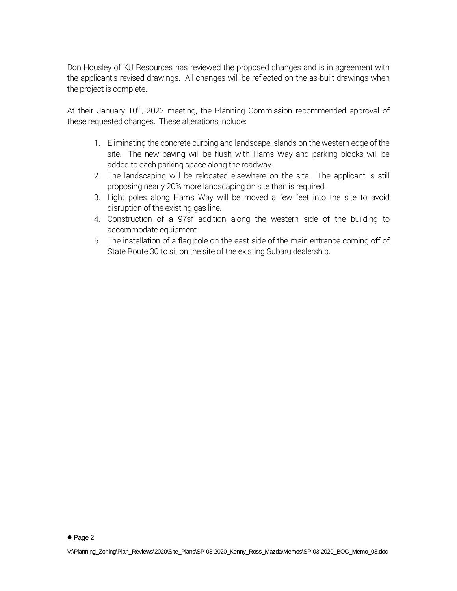Don Housley of KU Resources has reviewed the proposed changes and is in agreement with the applicant's revised drawings. All changes will be reflected on the as-built drawings when the project is complete.

At their January 10<sup>th</sup>, 2022 meeting, the Planning Commission recommended approval of these requested changes. These alterations include:

- 1. Eliminating the concrete curbing and landscape islands on the western edge of the site. The new paving will be flush with Hams Way and parking blocks will be added to each parking space along the roadway.
- 2. The landscaping will be relocated elsewhere on the site. The applicant is still proposing nearly 20% more landscaping on site than is required.
- 3. Light poles along Hams Way will be moved a few feet into the site to avoid disruption of the existing gas line.
- 4. Construction of a 97sf addition along the western side of the building to accommodate equipment.
- 5. The installation of a flag pole on the east side of the main entrance coming off of State Route 30 to sit on the site of the existing Subaru dealership.